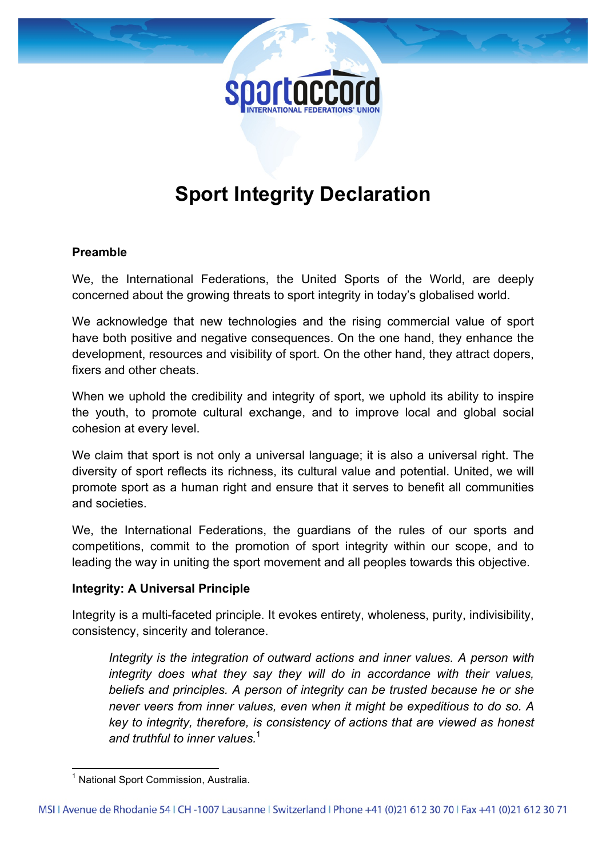# **Sport Integrity Declaration**

#### **Preamble**

We, the International Federations, the United Sports of the World, are deeply concerned about the growing threats to sport integrity in today's globalised world.

We acknowledge that new technologies and the rising commercial value of sport have both positive and negative consequences. On the one hand, they enhance the development, resources and visibility of sport. On the other hand, they attract dopers, fixers and other cheats.

When we uphold the credibility and integrity of sport, we uphold its ability to inspire the youth, to promote cultural exchange, and to improve local and global social cohesion at every level.

We claim that sport is not only a universal language; it is also a universal right. The diversity of sport reflects its richness, its cultural value and potential. United, we will promote sport as a human right and ensure that it serves to benefit all communities and societies.

We, the International Federations, the guardians of the rules of our sports and competitions, commit to the promotion of sport integrity within our scope, and to leading the way in uniting the sport movement and all peoples towards this objective.

## **Integrity: A Universal Principle**

Integrity is a multi-faceted principle. It evokes entirety, wholeness, purity, indivisibility, consistency, sincerity and tolerance.

*Integrity is the integration of outward actions and inner values. A person with integrity does what they say they will do in accordance with their values, beliefs and principles. A person of integrity can be trusted because he or she never veers from inner values, even when it might be expeditious to do so. A key to integrity, therefore, is consistency of actions that are viewed as honest and truthful to inner values.* 1

 $1$  National Sport Commission, Australia.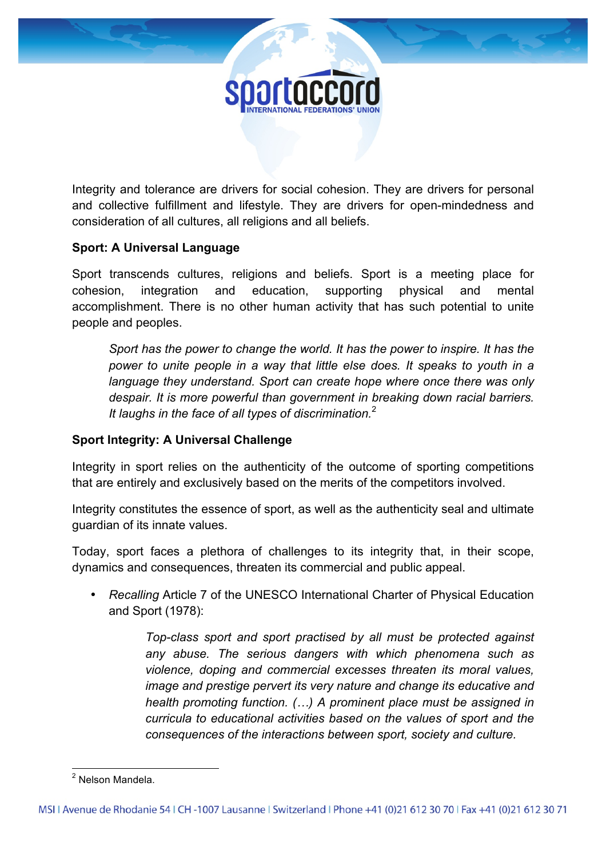

Integrity and tolerance are drivers for social cohesion. They are drivers for personal and collective fulfillment and lifestyle. They are drivers for open-mindedness and consideration of all cultures, all religions and all beliefs.

## **Sport: A Universal Language**

Sport transcends cultures, religions and beliefs. Sport is a meeting place for cohesion, integration and education, supporting physical and mental accomplishment. There is no other human activity that has such potential to unite people and peoples.

*Sport has the power to change the world. It has the power to inspire. It has the power to unite people in a way that little else does. It speaks to youth in a language they understand. Sport can create hope where once there was only despair. It is more powerful than government in breaking down racial barriers. It laughs in the face of all types of discrimination.* 2

## **Sport Integrity: A Universal Challenge**

Integrity in sport relies on the authenticity of the outcome of sporting competitions that are entirely and exclusively based on the merits of the competitors involved.

Integrity constitutes the essence of sport, as well as the authenticity seal and ultimate guardian of its innate values.

Today, sport faces a plethora of challenges to its integrity that, in their scope, dynamics and consequences, threaten its commercial and public appeal.

• *Recalling* Article 7 of the UNESCO International Charter of Physical Education and Sport (1978):

> *Top-class sport and sport practised by all must be protected against any abuse. The serious dangers with which phenomena such as violence, doping and commercial excesses threaten its moral values, image and prestige pervert its very nature and change its educative and health promoting function. (…) A prominent place must be assigned in curricula to educational activities based on the values of sport and the consequences of the interactions between sport, society and culture.*

 <sup>2</sup> Nelson Mandela.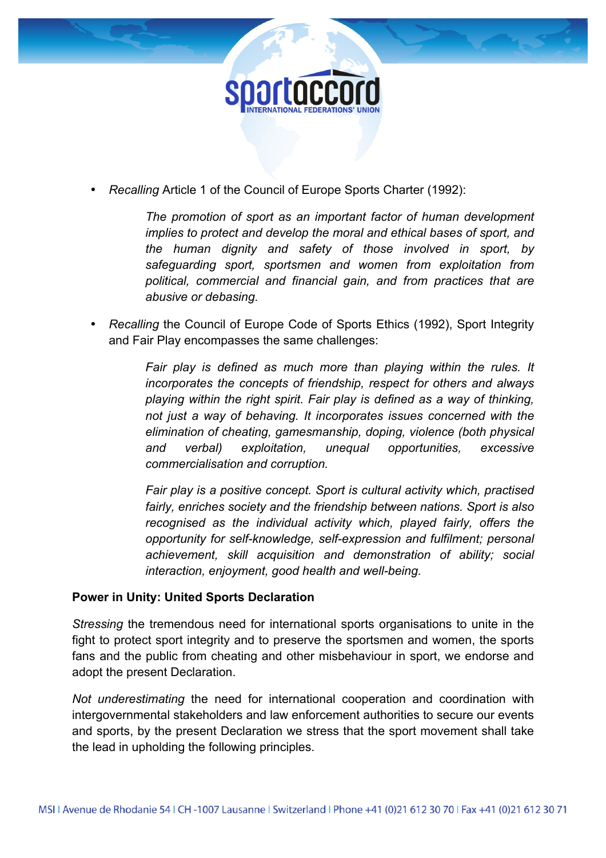

• *Recalling* Article 1 of the Council of Europe Sports Charter (1992):

*The promotion of sport as an important factor of human development implies to protect and develop the moral and ethical bases of sport, and the human dignity and safety of those involved in sport, by safeguarding sport, sportsmen and women from exploitation from political, commercial and financial gain, and from practices that are abusive or debasing.* 

• *Recalling* the Council of Europe Code of Sports Ethics (1992), Sport Integrity and Fair Play encompasses the same challenges:

> *Fair play is defined as much more than playing within the rules. It incorporates the concepts of friendship, respect for others and always playing within the right spirit. Fair play is defined as a way of thinking, not just a way of behaving. It incorporates issues concerned with the elimination of cheating, gamesmanship, doping, violence (both physical and verbal) exploitation, unequal opportunities, excessive commercialisation and corruption.*

> *Fair play is a positive concept. Sport is cultural activity which, practised fairly, enriches society and the friendship between nations. Sport is also recognised as the individual activity which, played fairly, offers the opportunity for self-knowledge, self-expression and fulfilment; personal achievement, skill acquisition and demonstration of ability; social interaction, enjoyment, good health and well-being.*

#### **Power in Unity: United Sports Declaration**

*Stressing* the tremendous need for international sports organisations to unite in the fight to protect sport integrity and to preserve the sportsmen and women, the sports fans and the public from cheating and other misbehaviour in sport, we endorse and adopt the present Declaration.

*Not underestimating* the need for international cooperation and coordination with intergovernmental stakeholders and law enforcement authorities to secure our events and sports, by the present Declaration we stress that the sport movement shall take the lead in upholding the following principles.